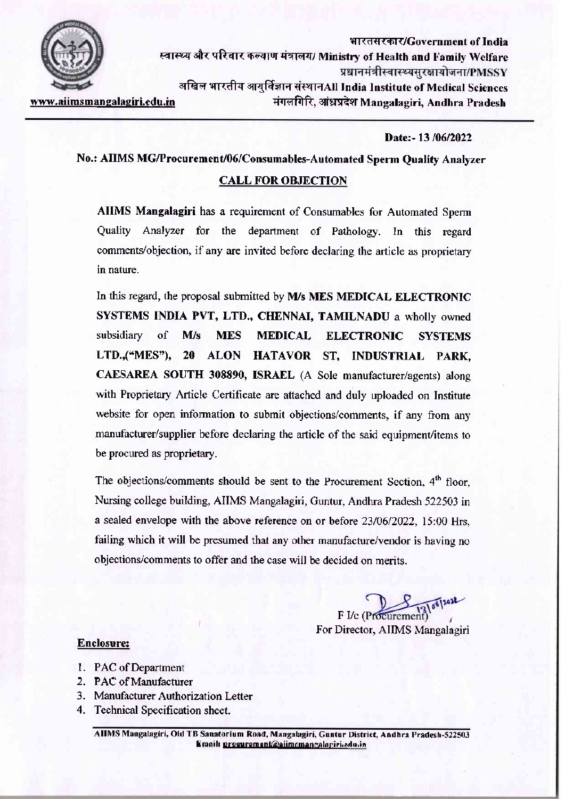

भारतसरकार/Government of India स्वास्थ्य और परिवार कल्याण मंत्रालय/ Ministry of Health and Family Welfare प्रधानमंत्रीस्वास्थ्यसरक्षायोजना/PMSSY अखिल भारतीय आयुर्विज्ञान संस्थानAll India Institute of Medical Sciences मंगलगिरि, आंध्रप्रदेश Mangalagiri, Andhra Pradesh www.aiimsmangalagiri.edu.in

Date:-13/06/2022

No.: AIIMS MG/Procurement/06/Consumables-Automated Sperm Quality Analyzer

# **CALL FOR OBJECTION**

AIIMS Mangalagiri has a requirement of Consumables for Automated Sperm Quality Analyzer for the department of Pathology. In this regard comments/objection, if any are invited before declaring the article as proprietary in nature.

In this regard, the proposal submitted by M/s MES MEDICAL ELECTRONIC SYSTEMS INDIA PVT, LTD., CHENNAI, TAMILNADU a wholly owned subsidiary of  $M/s$ **MES MEDICAL ELECTRONIC SYSTEMS** LTD.,("MES"), 20 ALON HATAVOR ST, INDUSTRIAL PARK, CAESAREA SOUTH 308890, ISRAEL (A Sole manufacturer/agents) along with Proprietary Article Certificate are attached and duly uploaded on Institute website for open information to submit objections/comments, if any from any manufacturer/supplier before declaring the article of the said equipment/items to be procured as proprietary.

The objections/comments should be sent to the Procurement Section, 4<sup>th</sup> floor, Nursing college building, AIIMS Mangalagiri, Guntur, Andhra Pradesh 522503 in a sealed envelope with the above reference on or before 23/06/2022, 15:00 Hrs, failing which it will be presumed that any other manufacture/vendor is having no objections/comments to offer and the case will be decided on merits.

12/00/2022

F I/c (Procurement For Director, AIIMS Mangalagiri

## **Enclosure:**

- 1. PAC of Department
- 2. PAC of Manufacturer
- 3. Manufacturer Authorization Letter
- 4. Technical Specification sheet.

AIIMS Mangalagiri, Old TB Sanatorium Road, Mangalagiri, Guntur District, Andhra Pradesh-522503 Email: prosurement@eiimamangalagiri.oda.in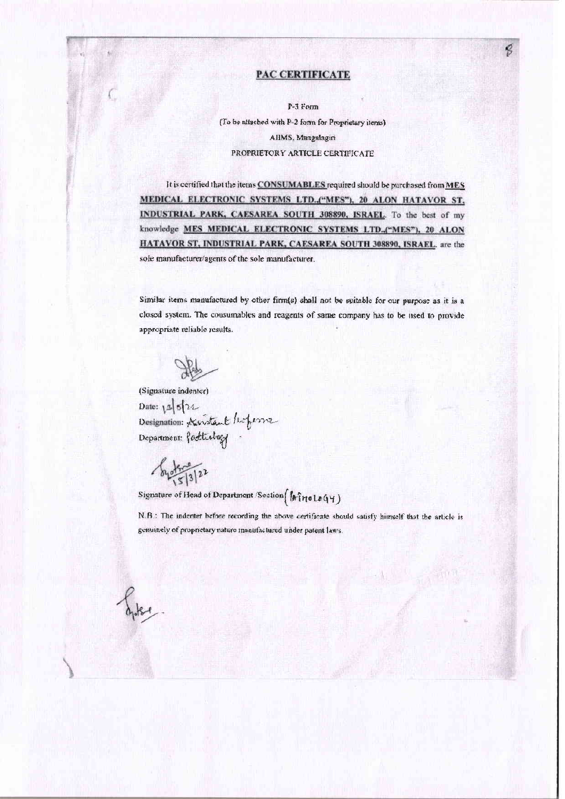### **PAC CERTIFICATE**

P-3 Form

(To be attached with P-2 form for Proprietary items) AIIMS, Mangalagiri PROPRIETORY ARTICLE CERTIFICATE

It is certified that the items CONSUMABLES required should be purchased from MES MEDICAL ELECTRONIC SYSTEMS LTD., ("MES"), 20 ALON HATAVOR ST, INDUSTRIAL PARK, CAESAREA SOUTH 308890, ISRAEL. To the best of my knowledge MES MEDICAL ELECTRONIC SYSTEMS LTD.,("MES"), 20 ALON HATAVOR ST, INDUSTRIAL PARK, CAESAREA SOUTH 308890, ISRAEL. are the sole manufacturer/agents of the sole manufacturer.

Similar items manufactured by other firm(s) shall not be suitable for our purpose as it is a closed system. The consumables and reagents of same company has to be used to provide appropriate reliable results.

(Signature indenter) Date:  $1521$ Designation: Accristant Ropesser

 $\sqrt{\frac{1}{2}}$ 

Signature of Head of Department (Section [Afro LoGY)

N.B.: The indenter before recording the above certificate should satisfy himself that the article is genuinely of proprietary nature manufactured under patent laws.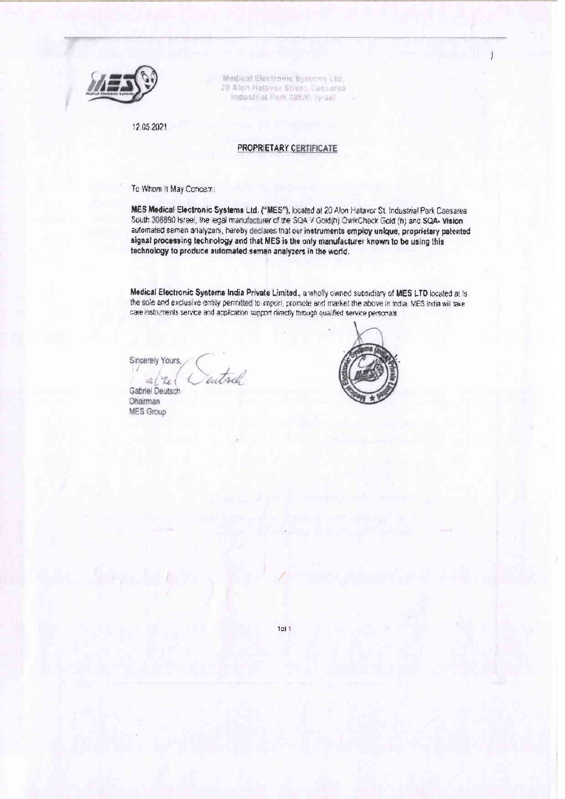

Medical Electronic Systems Ltd. 20 Alon Hatavor Street, Caesarea Industrial Park 38900, Israel

12 05 2021

#### PROPRIETARY CERTIFICATE

To Whom It May Concern:

MES Medical Electronic Systems Ltd. ("MES"), located at 20 Aton Hatavor St. Industrial Park Caesarea South 308890 Israel, the legal manufacturer of the SQA V Gold(h) QwikCheck Gold (h) and SQA- Vision automated semen analyzers, hereby declares that our instruments employ unique, proprietary patented signal processing technology and that MES is the only manufacturer known to be using this technology to produce automated semen analyzers in the world.

Medical Electronic Systems India Private Limited., a wholly owned subsidiary of MES LTD located at Is the sole and exclusive entity permitted to import, promote and market the above in India. MES India will take care instruments service and application support directly through qualified service personals

Sincerely Yours,

autod:

 $a/x$ Gabriel Deutsch **Ohairman MES Group** 



1011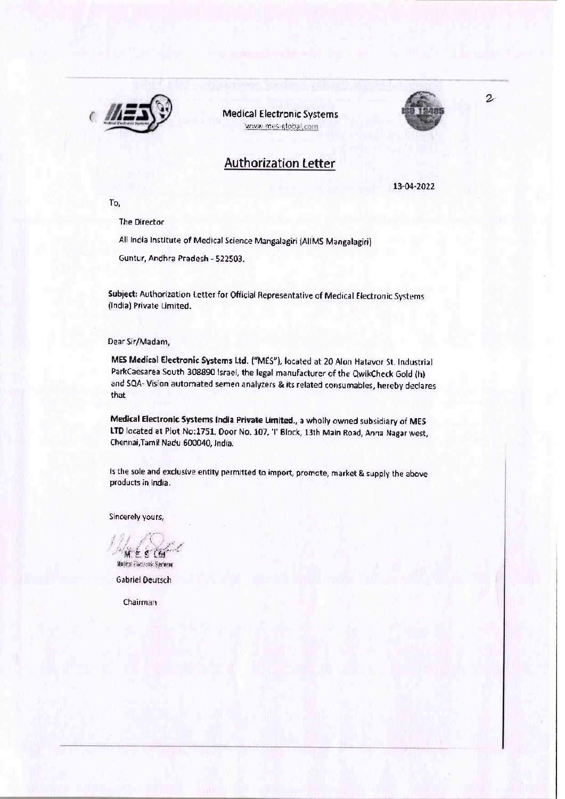

**Medical Electronic Systems** www.mes-global.com

 $\mathbf{z}$ 

# **Authorization Letter**

13-04-2022

To,

**The Director** 

All India Institute of Medical Science Mangalagiri (AlIMS Mangalagiri)

Guntur, Andhra Pradesh - 522503.

Subject: Authorization Letter for Official Representative of Medical Electronic Systems (India) Private Limited.

Dear Sir/Madam,

MES Medical Electronic Systems Ltd. ("MES"), located at 20 Alon Hatavor St. Industrial ParkCaesarea South 308890 Israel, the legal manufacturer of the QwikCheck Gold (h) and SQA- Vision automated semen analyzers & its related consumables, hereby declares that

Medical Electronic Systems India Private Limited., a wholly owned subsidiary of MES LTD located at Plot No:1751, Door No. 107, 'I' Block, 13th Main Road, Anna Nagar west, Chennai, Tamil Nadu 600040, India.

is the sole and exclusive entity permitted to import, promote, market & supply the above products in India.

Sincerely yours,

M. E. S (6 Hains Partners Sprent

**Gabriel Deutsch** 

Chairman